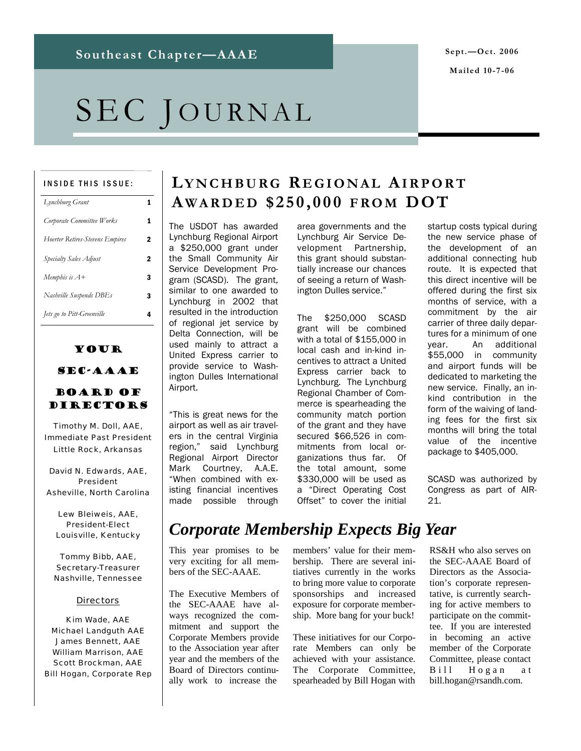# SEC JOURNAL

#### INSIDE THIS ISSUE:

| Lynchburg Grant                 | 1 |
|---------------------------------|---|
| Corporate Committee Works       | 1 |
| Hoerter Retires-Stevens Empires | 2 |
| Specialty Sales Adjust          | 2 |
| Memphis is $A+$                 | 3 |
| Nashville Suspends DBEs         | 3 |
| Jets go to Pitt-Greenville      | 4 |

## Your

## SEC-AAAE

### Board of **DIRECTORS**

Timothy M. Doll, AAE, Immediate Past President Little Rock, Arkansas

David N. Edwards, AAE, President Asheville, North Carolina

Lew Bleiweis, AAE, President-Elect Louisville, Kentucky

Tommy Bibb, AAE, Secretary-Treasurer Nashville, Tennessee

#### **Directors**

Kim Wade, AAE Michael Landguth AAE James Bennett, AAE William Marrison, AAE Scott Brockman, AAE Bill Hogan, Corporate Rep

## **LYNCHBURG R EGIONAL AIRPORT A WARDED \$250,000 FROM DOT**

The USDOT has awarded Lynchburg Regional Airport a \$250,000 grant under the Small Community Air Service Development Program (SCASD). The grant, similar to one awarded to Lynchburg in 2002 that resulted in the introduction of regional jet service by Delta Connection, will be used mainly to attract a United Express carrier to provide service to Washington Dulles International Airport.

"This is great news for the airport as well as air travelers in the central Virginia region," said Lynchburg Regional Airport Director Mark Courtney, A.A.E. "When combined with existing financial incentives made possible through

area governments and the Lynchburg Air Service Development Partnership, this grant should substantially increase our chances of seeing a return of Washington Dulles service."

The \$250,000 SCASD grant will be combined with a total of \$155,000 in local cash and in-kind incentives to attract a United Express carrier back to Lynchburg. The Lynchburg Regional Chamber of Commerce is spearheading the community match portion of the grant and they have secured \$66,526 in commitments from local organizations thus far. Of the total amount, some \$330,000 will be used as a "Direct Operating Cost Offset" to cover the initial

startup costs typical during the new service phase of the development of an additional connecting hub route. It is expected that this direct incentive will be offered during the first six months of service, with a commitment by the air carrier of three daily departures for a minimum of one year. An additional \$55,000 in community and airport funds will be dedicated to marketing the new service. Finally, an inkind contribution in the form of the waiving of landing fees for the first six months will bring the total value of the incentive package to \$405,000.

SCASD was authorized by Congress as part of AIR- $21$ 

# *Corporate Membership Expects Big Year*

This year promises to be very exciting for all members of the SEC-AAAE.

The Executive Members of the SEC-AAAE have always recognized the commitment and support the Corporate Members provide to the Association year after year and the members of the Board of Directors continually work to increase the

members' value for their membership. There are several initiatives currently in the works to bring more value to corporate sponsorships and increased exposure for corporate membership. More bang for your buck!

These initiatives for our Corporate Members can only be achieved with your assistance. The Corporate Committee, spearheaded by Bill Hogan with

RS&H who also serves on the SEC-AAAE Board of Directors as the Association's corporate representative, is currently searching for active members to participate on the committee. If you are interested in becoming an active member of the Corporate Committee, please contact Bill Hogan at bill.hogan@rsandh.com.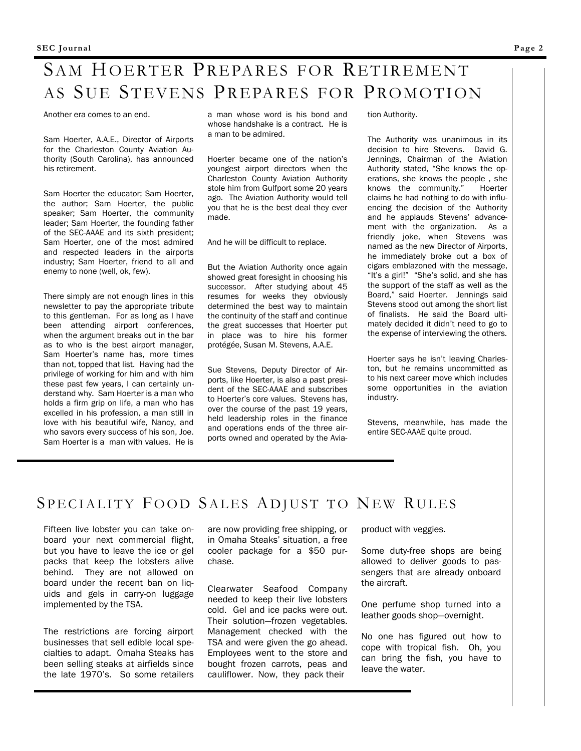# SAM HOERTER PREPARES FOR RETIREMENT AS SUE STEVENS PREPARES FOR PROMOTION

Another era comes to an end.

Sam Hoerter, A.A.E., Director of Airports for the Charleston County Aviation Authority (South Carolina), has announced his retirement.

Sam Hoerter the educator; Sam Hoerter, the author; Sam Hoerter, the public speaker; Sam Hoerter, the community leader; Sam Hoerter, the founding father of the SEC-AAAE and its sixth president; Sam Hoerter, one of the most admired and respected leaders in the airports industry; Sam Hoerter, friend to all and enemy to none (well, ok, few).

There simply are not enough lines in this newsletter to pay the appropriate tribute to this gentleman. For as long as I have been attending airport conferences, when the argument breaks out in the bar as to who is the best airport manager, Sam Hoerter's name has, more times than not, topped that list. Having had the privilege of working for him and with him these past few years, I can certainly understand why. Sam Hoerter is a man who holds a firm grip on life, a man who has excelled in his profession, a man still in love with his beautiful wife, Nancy, and who savors every success of his son, Joe. Sam Hoerter is a man with values. He is

a man whose word is his bond and whose handshake is a contract. He is a man to be admired.

Hoerter became one of the nation's youngest airport directors when the Charleston County Aviation Authority stole him from Gulfport some 20 years ago. The Aviation Authority would tell you that he is the best deal they ever made.

And he will be difficult to replace.

But the Aviation Authority once again showed great foresight in choosing his successor. After studying about 45 resumes for weeks they obviously determined the best way to maintain the continuity of the staff and continue the great successes that Hoerter put in place was to hire his former protégée, Susan M. Stevens, A.A.E.

Sue Stevens, Deputy Director of Airports, like Hoerter, is also a past president of the SEC-AAAE and subscribes to Hoerter's core values. Stevens has, over the course of the past 19 years, held leadership roles in the finance and operations ends of the three airports owned and operated by the Aviation Authority.

The Authority was unanimous in its decision to hire Stevens. David G. Jennings, Chairman of the Aviation Authority stated, "She knows the operations, she knows the people , she knows the community." Hoerter claims he had nothing to do with influencing the decision of the Authority and he applauds Stevens' advancement with the organization. As a friendly joke, when Stevens was named as the new Director of Airports, he immediately broke out a box of cigars emblazoned with the message, "It's a girl!" "She's solid, and she has the support of the staff as well as the Board," said Hoerter. Jennings said Stevens stood out among the short list of finalists. He said the Board ultimately decided it didn't need to go to the expense of interviewing the others.

Hoerter says he isn't leaving Charleston, but he remains uncommitted as to his next career move which includes some opportunities in the aviation industry.

Stevens, meanwhile, has made the entire SEC-AAAE quite proud.

## SPECIALITY FOOD SALES ADJUST TO NEW RULES

Fifteen live lobster you can take onboard your next commercial flight, but you have to leave the ice or gel packs that keep the lobsters alive behind. They are not allowed on board under the recent ban on liquids and gels in carry-on luggage implemented by the TSA.

The restrictions are forcing airport businesses that sell edible local specialties to adapt. Omaha Steaks has been selling steaks at airfields since the late 1970's. So some retailers are now providing free shipping, or in Omaha Steaks' situation, a free cooler package for a \$50 purchase.

Clearwater Seafood Company needed to keep their live lobsters cold. Gel and ice packs were out. Their solution—frozen vegetables. Management checked with the TSA and were given the go ahead. Employees went to the store and bought frozen carrots, peas and cauliflower. Now, they pack their

product with veggies.

Some duty-free shops are being allowed to deliver goods to passengers that are already onboard the aircraft.

One perfume shop turned into a leather goods shop—overnight.

No one has figured out how to cope with tropical fish. Oh, you can bring the fish, you have to leave the water.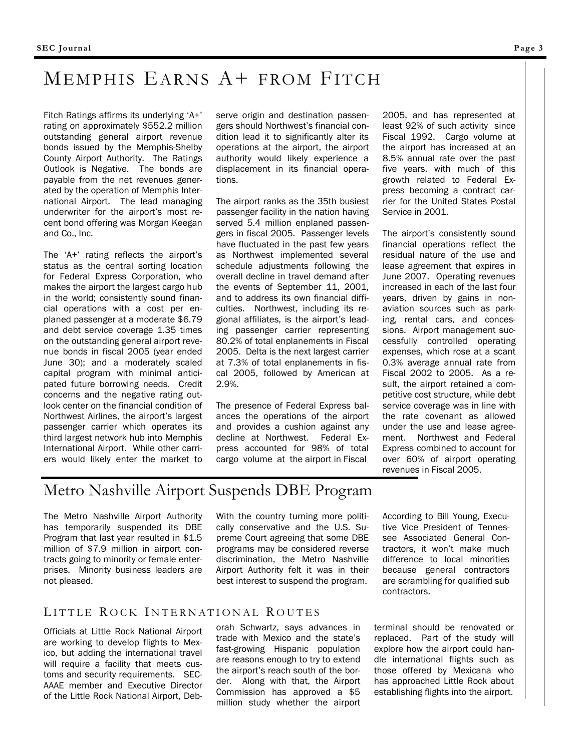# MEMPHIS EARNS A+ FROM FITCH

Fitch Ratings affirms its underlying 'A+' rating on approximately \$552.2 million outstanding general airport revenue bonds issued by the Memphis-Shelby County Airport Authority. The Ratings Outlook is Negative. The bonds are payable from the net revenues generated by the operation of Memphis International Airport. The lead managing underwriter for the airport's most recent bond offering was Morgan Keegan and Co., Inc.

The 'A+' rating reflects the airport's status as the central sorting location for Federal Express Corporation, who makes the airport the largest cargo hub in the world; consistently sound financial operations with a cost per enplaned passenger at a moderate \$6.79 and debt service coverage 1.35 times on the outstanding general airport revenue bonds in fiscal 2005 (year ended June 30); and a moderately scaled capital program with minimal anticipated future borrowing needs. Credit concerns and the negative rating outlook center on the financial condition of Northwest Airlines, the airport's largest passenger carrier which operates its third largest network hub into Memphis International Airport. While other carriers would likely enter the market to

serve origin and destination passengers should Northwest's financial condition lead it to significantly alter its operations at the airport, the airport authority would likely experience a displacement in its financial operations.

The airport ranks as the 35th busiest passenger facility in the nation having served 5.4 million enplaned passengers in fiscal 2005. Passenger levels have fluctuated in the past few years as Northwest implemented several schedule adjustments following the overall decline in travel demand after the events of September 11, 2001, and to address its own financial difficulties. Northwest, including its regional affiliates, is the airport's leading passenger carrier representing 80.2% of total enplanements in Fiscal 2005. Delta is the next largest carrier at 7.3% of total enplanements in fiscal 2005, followed by American at 2.9%.

The presence of Federal Express balances the operations of the airport and provides a cushion against any decline at Northwest. Federal Express accounted for 98% of total cargo volume at the airport in Fiscal

2005, and has represented at least 92% of such activity since Fiscal 1992. Cargo volume at the airport has increased at an 8.5% annual rate over the past five years, with much of this growth related to Federal Express becoming a contract carrier for the United States Postal Service in 2001.

The airport's consistently sound financial operations reflect the residual nature of the use and lease agreement that expires in June 2007. Operating revenues increased in each of the last four years, driven by gains in nonaviation sources such as parking, rental cars, and concessions. Airport management successfully controlled operating expenses, which rose at a scant 0.3% average annual rate from Fiscal 2002 to 2005. As a result, the airport retained a competitive cost structure, while debt service coverage was in line with the rate covenant as allowed under the use and lease agreement. Northwest and Federal Express combined to account for over 60% of airport operating revenues in Fiscal 2005.

## Metro Nashville Airport Suspends DBE Program

The Metro Nashville Airport Authority has temporarily suspended its DBE Program that last year resulted in \$1.5 million of \$7.9 million in airport contracts going to minority or female enterprises. Minority business leaders are not pleased.

With the country turning more politically conservative and the U.S. Supreme Court agreeing that some DBE programs may be considered reverse discrimination, the Metro Nashville Airport Authority felt it was in their best interest to suspend the program.

According to Bill Young, Executive Vice President of Tennessee Associated General Contractors, it won't make much difference to local minorities because general contractors are scrambling for qualified sub contractors.

### LITTLE ROCK INTERNATIONAL ROUTES

Officials at Little Rock National Airport are working to develop flights to Mexico, but adding the international travel will require a facility that meets customs and security requirements. SEC-AAAE member and Executive Director of the Little Rock National Airport, Deb-

orah Schwartz, says advances in trade with Mexico and the state's fast-growing Hispanic population are reasons enough to try to extend the airport's reach south of the border. Along with that, the Airport Commission has approved a \$5 million study whether the airport terminal should be renovated or replaced. Part of the study will explore how the airport could handle international flights such as those offered by Mexicana who has approached Little Rock about establishing flights into the airport.